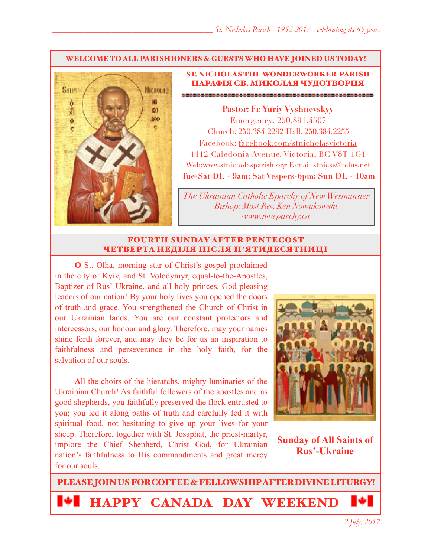#### WELCOME TO ALL PARISHIONERS & GUESTS WHO HAVE JOINED US TODAY!



### ST. NICHOLAS THE WONDERWORKER PARISH ПАРАФІЯ СВ. МИКОЛАЯ ЧУДОТВОРЦЯ

**Pastor: Fr. Yuriy Vyshnevskyy** Emergency: 250.891.4507 Church: 250.384.2292 Hall: 250.384.2255 Facebook: facebook.com/stnicholasvictoria 1112 Caledonia Avenue, Victoria, BC V8T 1G1 Web[:www.stnicholasparish.org](http://www.stnicholasparish.org) E-mail:[stnicks@telus.net](mailto:stnicks@telus.net) **Tue-Sat DL - 9am; Sat Vespers-6pm; Sun DL - 10am**

*The Ukrainian Catholic Eparchy of New Westminster Bishop: Most Rev. Ken Nowakowski [www.nweparchy.ca](http://www.nweparchy.ca)*

### FOURTH SUNDAY AFTER PENTECOST ЧЕТВЕРТА НЕДІЛЯ ПІСЛЯ П**'**ЯТИДЕСЯТНИЦІ

**O** St. Olha, morning star of Christ's gospel proclaimed in the city of Kyiv, and St. Volodymyr, equal-to-the-Apostles, Baptizer of Rus'-Ukraine, and all holy princes, God-pleasing leaders of our nation! By your holy lives you opened the doors of truth and grace. You strengthened the Church of Christ in our Ukrainian lands. You are our constant protectors and intercessors, our honour and glory. Therefore, may your names shine forth forever, and may they be for us an inspiration to faithfulness and perseverance in the holy faith, for the salvation of our souls.

**A**ll the choirs of the hierarchs, mighty luminaries of the Ukrainian Church! As faithful followers of the apostles and as good shepherds, you faithfully preserved the flock entrusted to you; you led it along paths of truth and carefully fed it with spiritual food, not hesitating to give up your lives for your sheep. Therefore, together with St. Josaphat, the priest-martyr, implore the Chief Shepherd, Christ God, for Ukrainian nation's faithfulness to His commandments and great mercy for our souls.



**Sunday of All Saints of Rus'-Ukraine**

PLEASE JOIN US FOR COFFEE & FELLOWSHIP AFTER DIVINE LITURGY! HAPPY CANADA DAY WEEKEND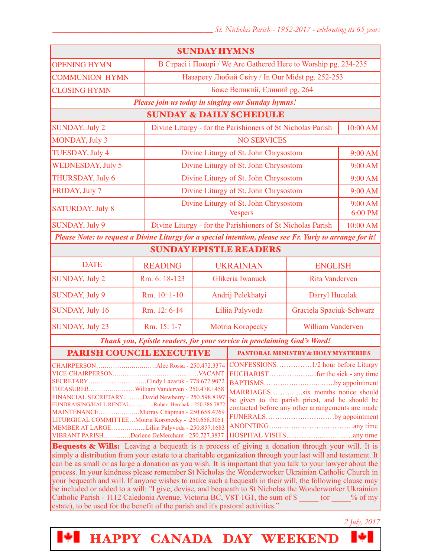| <b>SUNDAY HYMNS</b>                                                                                                                                                                                                                                                                                                                                                                                                          |                                                                                                                                                                                              |                                                                 |                                                             |                                                         |          |  |
|------------------------------------------------------------------------------------------------------------------------------------------------------------------------------------------------------------------------------------------------------------------------------------------------------------------------------------------------------------------------------------------------------------------------------|----------------------------------------------------------------------------------------------------------------------------------------------------------------------------------------------|-----------------------------------------------------------------|-------------------------------------------------------------|---------------------------------------------------------|----------|--|
| <b>OPENING HYMN</b>                                                                                                                                                                                                                                                                                                                                                                                                          |                                                                                                                                                                                              | В Страсі і Покорі / We Are Gathered Here to Worship pg. 234-235 |                                                             |                                                         |          |  |
| <b>COMMUNION HYMN</b>                                                                                                                                                                                                                                                                                                                                                                                                        |                                                                                                                                                                                              | Назарету Любий Світу / In Our Midst pg. 252-253                 |                                                             |                                                         |          |  |
| <b>CLOSING HYMN</b>                                                                                                                                                                                                                                                                                                                                                                                                          |                                                                                                                                                                                              | Боже Великий, Єдиний рg. 264                                    |                                                             |                                                         |          |  |
| Please join us today in singing our Sunday hymns!                                                                                                                                                                                                                                                                                                                                                                            |                                                                                                                                                                                              |                                                                 |                                                             |                                                         |          |  |
| <b>SUNDAY &amp; DAILY SCHEDULE</b>                                                                                                                                                                                                                                                                                                                                                                                           |                                                                                                                                                                                              |                                                                 |                                                             |                                                         |          |  |
| <b>SUNDAY, July 2</b>                                                                                                                                                                                                                                                                                                                                                                                                        |                                                                                                                                                                                              | Divine Liturgy - for the Parishioners of St Nicholas Parish     |                                                             | 10:00 AM                                                |          |  |
| MONDAY, July 3                                                                                                                                                                                                                                                                                                                                                                                                               |                                                                                                                                                                                              | <b>NO SERVICES</b>                                              |                                                             |                                                         |          |  |
| TUESDAY, July 4                                                                                                                                                                                                                                                                                                                                                                                                              |                                                                                                                                                                                              | Divine Liturgy of St. John Chrysostom                           |                                                             |                                                         | 9:00 AM  |  |
| <b>WEDNESDAY, July 5</b>                                                                                                                                                                                                                                                                                                                                                                                                     |                                                                                                                                                                                              | Divine Liturgy of St. John Chrysostom                           |                                                             |                                                         | 9:00 AM  |  |
| THURSDAY, July 6                                                                                                                                                                                                                                                                                                                                                                                                             |                                                                                                                                                                                              |                                                                 | Divine Liturgy of St. John Chrysostom                       |                                                         | 9:00 AM  |  |
| FRIDAY, July 7                                                                                                                                                                                                                                                                                                                                                                                                               |                                                                                                                                                                                              |                                                                 | Divine Liturgy of St. John Chrysostom                       |                                                         | 9:00 AM  |  |
| <b>SATURDAY, July 8</b>                                                                                                                                                                                                                                                                                                                                                                                                      |                                                                                                                                                                                              |                                                                 |                                                             | Divine Liturgy of St. John Chrysostom<br><b>Vespers</b> |          |  |
| SUNDAY, July 9                                                                                                                                                                                                                                                                                                                                                                                                               |                                                                                                                                                                                              |                                                                 | Divine Liturgy - for the Parishioners of St Nicholas Parish |                                                         | 10:00 AM |  |
| Please Note: to request a Divine Liturgy for a special intention, please see Fr. Yuriy to arrange for it!                                                                                                                                                                                                                                                                                                                    |                                                                                                                                                                                              |                                                                 |                                                             |                                                         |          |  |
| <b>SUNDAY EPISTLE READERS</b>                                                                                                                                                                                                                                                                                                                                                                                                |                                                                                                                                                                                              |                                                                 |                                                             |                                                         |          |  |
| <b>DATE</b>                                                                                                                                                                                                                                                                                                                                                                                                                  | <b>READING</b>                                                                                                                                                                               |                                                                 | <b>UKRAINIAN</b>                                            | <b>ENGLISH</b>                                          |          |  |
| <b>SUNDAY, July 2</b>                                                                                                                                                                                                                                                                                                                                                                                                        | Rm. 6: 18-123                                                                                                                                                                                |                                                                 | Glikeria Iwanuck                                            | <b>Rita Vanderven</b>                                   |          |  |
| SUNDAY, July 9                                                                                                                                                                                                                                                                                                                                                                                                               | Rm. 10: 1-10                                                                                                                                                                                 | Andrij Pelekhatyi<br>Darryl Huculak                             |                                                             |                                                         |          |  |
| <b>SUNDAY, July 16</b>                                                                                                                                                                                                                                                                                                                                                                                                       | Rm. 12: 6-14                                                                                                                                                                                 |                                                                 | Liliia Palyvoda                                             | Graciela Spaciuk-Schwarz                                |          |  |
| SUNDAY, July 23                                                                                                                                                                                                                                                                                                                                                                                                              | Rm. 15: 1-7                                                                                                                                                                                  | William Vanderven<br>Motria Koropecky                           |                                                             |                                                         |          |  |
| Thank you, Epistle readers, for your service in proclaiming God's Word!                                                                                                                                                                                                                                                                                                                                                      |                                                                                                                                                                                              |                                                                 |                                                             |                                                         |          |  |
| <b>PARISH COUNCIL EXECUTIVE</b>                                                                                                                                                                                                                                                                                                                                                                                              |                                                                                                                                                                                              |                                                                 | <b>PASTORAL MINISTRY &amp; HOLY MYSTERIES</b>               |                                                         |          |  |
| SECRETARYCindy Lazaruk - 778.677.9072<br>FINANCIAL SECRETARYDavid Newberry - 250.598.8197<br>FUNDRAISING/HALL RENTALRobert Herchak - 250.386.7872<br>MAINTENANCEMurray Chapman - 250.658.4769<br>LITURGICAL COMMITTEEMotria Koropecky - 250.658.3051<br>MEMBER AT LARGELiliia Palyvoda - 250.857.1683<br>VIBRANT PARISHDarlene DeMerchant - 250.727.3837<br>$R_{\text{correct}}$ $\theta$ -W'lles Leoving a hequesth is a pr | BAPTISMSby appointment<br>MARRIAGESsix months notice should<br>be given to the parish priest, and he should be<br>contacted before any other arrangements are made<br>FUNERALSby appointment |                                                                 |                                                             |                                                         |          |  |

**Bequests & Wills:** Leaving a bequeath is a process of giving a donation through your will. It is simply a distribution from your estate to a charitable organization through your last will and testament. It can be as small or as large a donation as you wish. It is important that you talk to your lawyer about the process. In your kindness please remember St Nicholas the Wonderworker Ukrainian Catholic Church in your bequeath and will. If anyone wishes to make such a bequeath in their will, the following clause may be included or added to a will: "I give, devise, and bequeath to St Nicholas the Wonderworker Ukrainian Catholic Parish - 1112 Caledonia Avenue, Victoria BC, V8T 1G1, the sum of \$ \_\_\_\_\_ (or \_\_\_\_% of my estate), to be used for the benefit of the parish and it's pastoral activities."

HAPPY CANADA DAY WEEKEND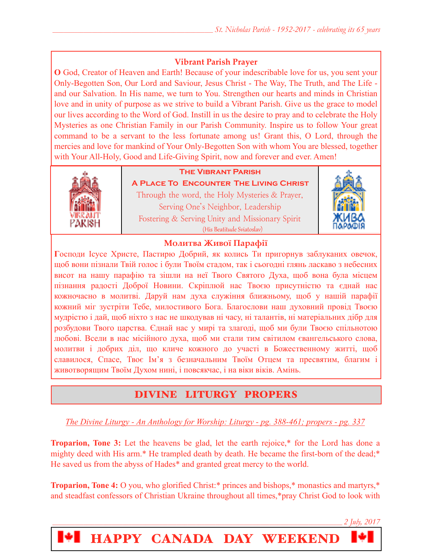## **Vibrant Parish Prayer**

**O** God, Creator of Heaven and Earth! Because of your indescribable love for us, you sent your Only-Begotten Son, Our Lord and Saviour, Jesus Christ - The Way, The Truth, and The Life and our Salvation. In His name, we turn to You. Strengthen our hearts and minds in Christian love and in unity of purpose as we strive to build a Vibrant Parish. Give us the grace to model our lives according to the Word of God. Instill in us the desire to pray and to celebrate the Holy Mysteries as one Christian Family in our Parish Community. Inspire us to follow Your great command to be a servant to the less fortunate among us! Grant this, O Lord, through the mercies and love for mankind of Your Only-Begotten Son with whom You are blessed, together with Your All-Holy, Good and Life-Giving Spirit, now and forever and ever. Amen!



## **The Vibrant Parish**

**A Place To Encounter The Living Christ** Through the word, the Holy Mysteries & Prayer, Serving One's Neighbor, Leadership Fostering & Serving Unity and Missionary Spirit (His Beatitude Sviatoslav)



### **Молитва Живої Парафії**

**Г**осподи Ісусе Христе, Пастирю Добрий, як колись Ти пригорнув заблуканих овечок, щоб вони пізнали Твій голос і були Твоїм стадом, так і сьогодні глянь ласкаво з небесних висот на нашу парафію та зішли на неї Твого Святого Духа, щоб вона була місцем пізнання радості Доброї Новини. Скріплюй нас Твоєю присутністю та єднай нас кожночасно в молитві. Даруй нам духа служіння ближньому, щоб у нашій парафії кожний міг зустріти Тебе, милостивого Бога. Благослови наш духовний провід Твоєю мудрістю і дай, щоб ніхто з нас не шкодував ні часу, ні талантів, ні матеріальних дібр для розбудови Твого царства. Єднай нас у мирі та злагоді, щоб ми були Твоєю спільнотою любові. Всели в нас місійного духа, щоб ми стали тим світилом євангельського слова, молитви і добрих діл, що кличе кожного до участі в Божественному житті, щоб славилося, Спасе, Твоє Ім'я з безначальним Твоїм Отцем та пресвятим, благим і животворящим Твоїм Духом нині, і повсякчас, і на віки віків. Амінь.

# DIVINE LITURGY PROPERS

*The Divine Liturgy - An Anthology for Worship: Liturgy - pg. 388-461; propers - pg. 337* 

**Troparion, Tone 3:** Let the heavens be glad, let the earth rejoice,\* for the Lord has done a mighty deed with His arm.\* He trampled death by death. He became the first-born of the dead;\* He saved us from the abyss of Hades\* and granted great mercy to the world.

**Troparion, Tone 4:** O you, who glorified Christ:\* princes and bishops,\* monastics and martyrs,\* and steadfast confessors of Christian Ukraine throughout all times,\*pray Christ God to look with



HAPPY CANADA DAY WEEKEND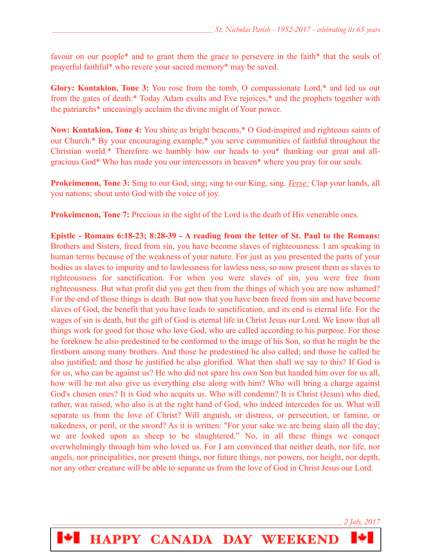favour on our people\* and to grant them the grace to persevere in the faith\* that the souls of prayerful faithful\* who revere your sacred memory\* may be saved.

**Glory: Kontakion, Tone 3:** You rose from the tomb, O compassionate Lord,\* and led us out from the gates of death.\* Today Adam exults and Eve rejoices,\* and the prophets together with the patriarchs\* unceasingly acclaim the divine might of Your power.

**Now: Kontakion, Tone 4:** You shine as bright beacons,\* O God-inspired and righteous saints of our Church.\* By your encouraging example,\* you serve communities of faithful throughout the Christian world.\* Therefore we humbly bow our heads to you\* thanking our great and allgracious God\* Who has made you our intercessors in heaven\* where you pray for our souls.

**Prokeimenon, Tone 3:** Sing to our God, sing; sing to our King, sing. *Verse:* Clap your hands, all you nations; shout unto God with the voice of joy.

**Prokeimenon, Tone 7:** Precious in the sight of the Lord is the death of His venerable ones.

**Epistle - Romans 6:18-23; 8:28-39 - A reading from the letter of St. Paul to the Romans:** Brothers and Sisters, freed from sin, you have become slaves of righteousness. I am speaking in human terms because of the weakness of your nature. For just as you presented the parts of your bodies as slaves to impurity and to lawlessness for lawless ness, so now present them as slaves to righteousness for sanctification. For when you were slaves of sin, you were free from righteousness. But what profit did you get then from the things of which you are now ashamed? For the end of those things is death. But now that you have been freed from sin and have become slaves of God, the benefit that you have leads to sanctification, and its end is eternal life. For the wages of sin is death, but the gift of God is eternal life in Christ Jesus our Lord. We know that all things work for good for those who love God, who are called according to his purpose. For those he foreknew he also predestined to be conformed to the image of his Son, so that he might be the firstborn among many brothers. And those he predestined he also called; and those he called he also justified; and those he justified he also glorified. What then shall we say to this? If God is for us, who can be against us? He who did not spare his own Son but handed him over for us all, how will he not also give us everything else along with him? Who will bring a charge against God's chosen ones? It is God who acquits us. Who will condemn? It is Christ (Jesus) who died, rather, was raised, who also is at the right hand of God, who indeed intercedes for us. What will separate us from the love of Christ? Will anguish, or distress, or persecution, or famine, or nakedness, or peril, or the sword? As it is written: "For your sake we are being slain all the day; we are looked upon as sheep to be slaughtered." No, in all these things we conquer overwhelmingly through him who loved us. For I am convinced that neither death, nor life, nor angels, nor principalities, nor present things, nor future things, nor powers, nor height, nor depth, nor any other creature will be able to separate us from the love of God in Christ Jesus our Lord.

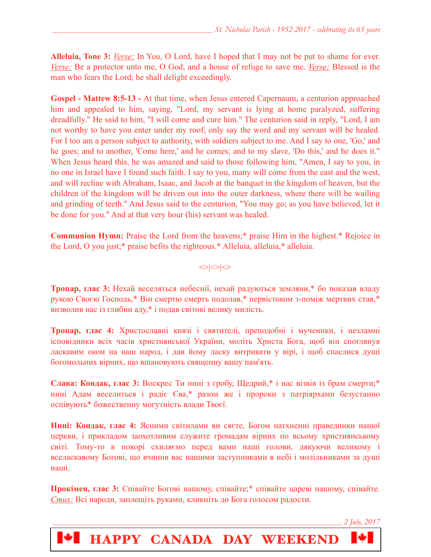**Alleluia, Tone 3:** *Verse:* In You, O Lord, have I hoped that I may not be put to shame for ever. *Verse:* Be a protector unto me, O God, and a house of refuge to save me. *Verse:* Blessed is the man who fears the Lord; he shall delight exceedingly.

**Gospel - Mattew 8:5-13 -** At that time, when Jesus entered Capernaum, a centurion approached him and appealed to him, saying, "Lord, my servant is lying at home paralyzed, suffering dreadfully." He said to him, "I will come and cure him." The centurion said in reply, "Lord, I am not worthy to have you enter under my roof; only say the word and my servant will be healed. For I too am a person subject to authority, with soldiers subject to me. And I say to one, 'Go,' and he goes; and to another, 'Come here,' and he comes; and to my slave, 'Do this,' and he does it." When Jesus heard this, he was amazed and said to those following him, "Amen, I say to you, in no one in Israel have I found such faith. I say to you, many will come from the east and the west, and will recline with Abraham, Isaac, and Jacob at the banquet in the kingdom of heaven, but the children of the kingdom will be driven out into the outer darkness, where there will be wailing and grinding of teeth." And Jesus said to the centurion, "You may go; as you have believed, let it be done for you." And at that very hour (his) servant was healed.

**Communion Hymn:** Praise the Lord from the heavens;\* praise Him in the highest.\* Rejoice in the Lord, O you just;\* praise befits the righteous.\* Alleluia, alleluia,\* alleluia.

 $\text{O}$ 

**Тропар, глас 3:** Нехай веселяться небеснії, нехай радуються земляни,\* бо показав владу рукою Своєю Господь,\* Він смертю смерть подолав,\* первістоком з-поміж мертвих став,\* визволив нас із глибин аду,\* і подав світові велику милість.

**Тропар, глас 4:** Христославні князі і святителі, преподобні і мученики, і незламні ісповідники всіх часів християнської України, моліть Христа Бога, щоб він споглянув ласкавим оком на наш народ, і дав йому ласку витривати у вірі, і щоб спаслися душі богомольних вірних, що вшановують священну вашу пам'ять.

**Слава: Кондак, глас 3:** Воскрес Ти нині з гробу, Щедрий,\* і нас візвів із брам смерти;\* нині Адам веселиться і радіє Єва,\* разом же і пророки з патріярхами безустанно оспівують\* божественну могутність влади Твоєї.

**Нині: Кондак, глас 4:** Ясними світилами ви сяєте, Богом натхненні праведники нашої церкви, і прикладом заохотливим служите громадам вірних по всьому християнському світі. Тому-то в покорі схиляємо перед вами наші голови, дякуючи великому і вселаскавому Богові, що вчинив вас нашими заступниками в небі і молільниками за душі наші.

**Прокімен, глас 3:** Співайте Богові нашому, співайте;\* співайте цареві нашому, співайте. *Стих:* Всі народи, заплещіть руками, кликніть до Бога голосом радости.

**HAPPY CANADA DAY WEEKEND**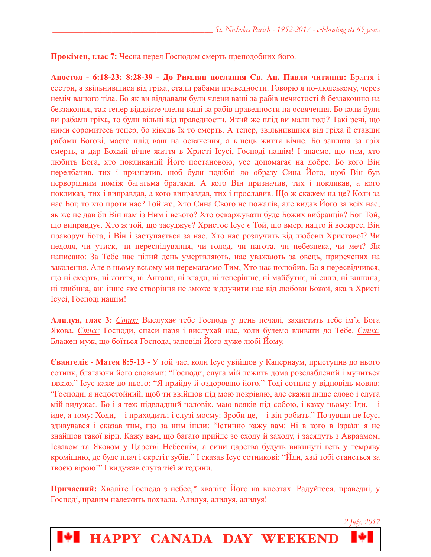**Прокімен, глас 7:** Чесна перед Господом смерть преподобних його.

**Апостол - 6:18-23; 8:28-39 - До Римлян послання Св. Ап. Павла читання:** Браття і сестри, a звільнившися від гріха, стали рабами праведности. Говорю я по-людському, через неміч вашого тіла. Бо як ви віддавали були члени ваші за рабів нечистості й беззаконню на беззаконня, так тепер віддайте члени ваші за рабів праведности на освячення. Бо коли були ви рабами гріха, то були вільні від праведности. Який же плід ви мали тоді? Такі речі, що ними соромитесь тепер, бо кінець їх то смерть. А тепер, звільнившися від гріха й ставши рабами Богові, маєте плід ваш на освячення, а кінець життя вічне. Бо заплата за гріх смерть, а дар Божий вічне життя в Христі Ісусі, Господі нашім! І знаємо, що тим, хто любить Бога, хто покликаний Його постановою, усе допомагає на добре. Бо кого Він передбачив, тих і призначив, щоб були подібні до образу Сина Його, щоб Він був перворідним поміж багатьма братами. А кого Він призначив, тих і покликав, а кого покликав, тих і виправдав, а кого виправдав, тих і прославив. Що ж скажем на це? Коли за нас Бог, то хто проти нас? Той же, Хто Сина Свого не пожалів, але видав Його за всіх нас, як же не дав би Він нам із Ним і всього? Хто оскаржувати буде Божих вибранців? Бог Той, що виправдує. Хто ж той, що засуджує? Христос Ісус є Той, що вмер, надто й воскрес, Він праворуч Бога, і Він і заступається за нас. Хто нас розлучить від любови Христової? Чи недоля, чи утиск, чи переслідування, чи голод, чи нагота, чи небезпека, чи меч? Як написано: За Тебе нас цілий день умертвляють, нас уважають за овець, приречених на заколення. Але в цьому всьому ми перемагаємо Тим, Хто нас полюбив. Бо я пересвідчився, що ні смерть, ні життя, ні Анголи, ні влади, ні теперішнє, ні майбутнє, ні сили, ні вишина, ні глибина, ані інше яке створіння не зможе відлучити нас від любови Божої, яка в Христі Ісусі, Господі нашім!

**Алилуя, глас 3:** *Стих:* Вислухає тебе Господь у день печалі, захистить тебе ім'я Бога Якова. *Стих:* Господи, спаси царя і вислухай нас, коли будемо взивати до Тебе. *Стих:*  Блажен муж, що боїться Господа, заповіді Його дуже любі Йому.

**Євангеліє - Матея 8:5-13 -** У той час, коли Ісус увійшов у Капернаум, приступив до нього сотник, благаючи його словами: "Господи, слуга мій лежить дома розслаблений і мучиться тяжко." Ісус каже до нього: "Я прийду й оздоровлю його." Тоді сотник у відповідь мовив: "Господи, я недостойний, щоб ти ввійшов під мою покрівлю, але скажи лише слово і слуга мій видужає. Бо і я теж підвладний чоловік, маю вояків під собою, і кажу цьому: Іди, – і йде, а тому: Ходи, – і приходить; і слузі моєму: Зроби це, – і він робить." Почувши це Ісус, здивувався і сказав тим, що за ним ішли: "Істинно кажу вам: Ні в кого в Ізраїлі я не знайшов такої віри. Кажу вам, що багато прийде зо сходу й заходу, і засядуть з Авраамом, Ісааком та Яковом у Царстві Небеснім, а сини царства будуть викинуті геть у темряву кромішню, де буде плач і скрегіт зубів." І сказав Ісус сотникові: "Йди, хай тобі станеться за твоєю вірою!" І видужав слуга тієї ж години.

**Причасний:** Хваліте Господа з небес,\* хваліте Його на висотах. Радуйтеся, праведні, у Господі, правим належить похвала. Алилуя, алилуя, алилуя!

HAPPY CANADA DAY WEEKEND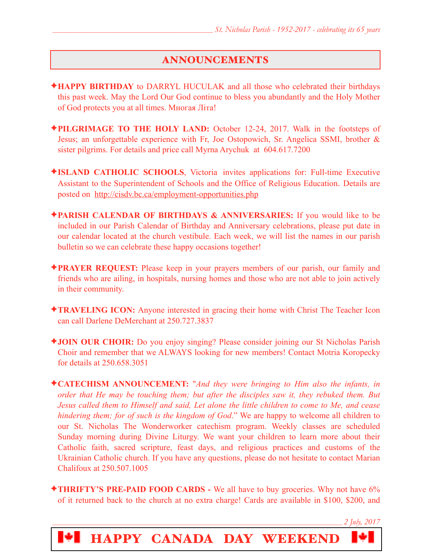## ANNOUNCEMENTS

- ✦**HAPPY BIRTHDAY** to DARRYL HUCULAK and all those who celebrated their birthdays this past week. May the Lord Our God continue to bless you abundantly and the Holy Mother of God protects you at all times. Многая Літа!
- ✦**PILGRIMAGE TO THE HOLY LAND:** October 12-24, 2017. Walk in the footsteps of Jesus; an unforgettable experience with Fr, Joe Ostopowich, Sr. Angelica SSMI, brother & sister pilgrims. For details and price call Myrna Arychuk at 604.617.7200
- ✦**ISLAND CATHOLIC SCHOOLS**, Victoria invites applications for: Full-time Executive Assistant to the Superintendent of Schools and the Office of Religious Education. Details are posted on <http://cisdv.bc.ca/employment-opportunities.php>
- ✦**PARISH CALENDAR OF BIRTHDAYS & ANNIVERSARIES:** If you would like to be included in our Parish Calendar of Birthday and Anniversary celebrations, please put date in our calendar located at the church vestibule. Each week, we will list the names in our parish bulletin so we can celebrate these happy occasions together!
- ✦**PRAYER REQUEST:** Please keep in your prayers members of our parish, our family and friends who are ailing, in hospitals, nursing homes and those who are not able to join actively in their community.
- ✦**TRAVELING ICON:** Anyone interested in gracing their home with Christ The Teacher Icon can call Darlene DeMerchant at 250.727.3837
- ✦**JOIN OUR CHOIR:** Do you enjoy singing? Please consider joining our St Nicholas Parish Choir and remember that we ALWAYS looking for new members! Contact Motria Koropecky for details at 250.658.3051
- ✦**CATECHISM ANNOUNCEMENT:** "*And they were bringing to Him also the infants, in order that He may be touching them; but after the disciples saw it, they rebuked them. But Jesus called them to Himself and said, Let alone the little children to come to Me, and cease hindering them; for of such is the kingdom of God*." We are happy to welcome all children to our St. Nicholas The Wonderworker catechism program. Weekly classes are scheduled Sunday morning during Divine Liturgy. We want your children to learn more about their Catholic faith, sacred scripture, feast days, and religious practices and customs of the Ukrainian Catholic church. If you have any questions, please do not hesitate to contact Marian Chalifoux at 250.507.1005
- ✦**THRIFTY'S PRE-PAID FOOD CARDS** We all have to buy groceries. Why not have 6% of it returned back to the church at no extra charge! Cards are available in \$100, \$200, and

*\_\_\_\_\_\_\_\_\_\_\_\_\_\_\_\_\_\_\_\_\_\_\_\_\_\_\_\_\_\_\_\_\_\_\_\_\_\_\_\_\_\_\_\_\_\_\_\_\_\_\_\_\_\_\_\_\_\_\_\_\_\_\_\_\_\_\_\_\_\_\_\_\_\_\_\_\_\_\_\_\_\_\_\_\_\_\_\_\_\_\_\_\_\_\_\_\_\_\_\_\_\_\_ 2 July, 2017*

HAPPY CANADA DAY WEEKEND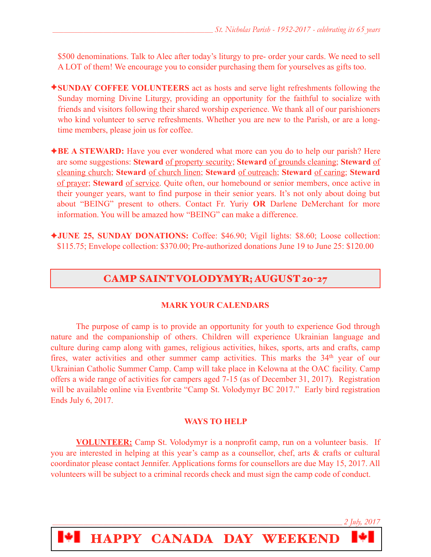\$500 denominations. Talk to Alec after today's liturgy to pre- order your cards. We need to sell A LOT of them! We encourage you to consider purchasing them for yourselves as gifts too.

- ✦**SUNDAY COFFEE VOLUNTEERS** act as hosts and serve light refreshments following the Sunday morning Divine Liturgy, providing an opportunity for the faithful to socialize with friends and visitors following their shared worship experience. We thank all of our parishioners who kind volunteer to serve refreshments. Whether you are new to the Parish, or are a longtime members, please join us for coffee.
- **★BE A STEWARD:** Have you ever wondered what more can you do to help our parish? Here are some suggestions: **Steward** of property security; **Steward** of grounds cleaning; **Steward** of cleaning church; **Steward** of church linen; **Steward** of outreach; **Steward** of caring; **Steward** of prayer; **Steward** of service. Quite often, our homebound or senior members, once active in their younger years, want to find purpose in their senior years. It's not only about doing but about "BEING" present to others. Contact Fr. Yuriy **OR** Darlene DeMerchant for more information. You will be amazed how "BEING" can make a difference.
- ✦**JUNE 25, SUNDAY DONATIONS:** Coffee: \$46.90; Vigil lights: \$8.60; Loose collection: \$115.75; Envelope collection: \$370.00; Pre-authorized donations June 19 to June 25: \$120.00

# CAMP SAINT VOLODYMYR; AUGUST 20-27

### **MARK YOUR CALENDARS**

 The purpose of camp is to provide an opportunity for youth to experience God through nature and the companionship of others. Children will experience Ukrainian language and culture during camp along with games, religious activities, hikes, sports, arts and crafts, camp fires, water activities and other summer camp activities. This marks the 34<sup>th</sup> year of our Ukrainian Catholic Summer Camp. Camp will take place in Kelowna at the OAC facility. Camp offers a wide range of activities for campers aged 7-15 (as of December 31, 2017). Registration will be available online via Eventbrite "Camp St. Volodymyr BC 2017." Early bird registration Ends July 6, 2017.

### **WAYS TO HELP**

**VOLUNTEER:** Camp St. Volodymyr is a nonprofit camp, run on a volunteer basis. If you are interested in helping at this year's camp as a counsellor, chef, arts & crafts or cultural coordinator please contact Jennifer. Applications forms for counsellors are due May 15, 2017. All volunteers will be subject to a criminal records check and must sign the camp code of conduct.

*\_\_\_\_\_\_\_\_\_\_\_\_\_\_\_\_\_\_\_\_\_\_\_\_\_\_\_\_\_\_\_\_\_\_\_\_\_\_\_\_\_\_\_\_\_\_\_\_\_\_\_\_\_\_\_\_\_\_\_\_\_\_\_\_\_\_\_\_\_\_\_\_\_\_\_\_\_\_\_\_\_\_\_\_\_\_\_\_\_\_\_\_\_\_\_\_\_\_\_\_\_\_\_ 2 July, 2017*

HAPPY CANADA DAY WEEKEND